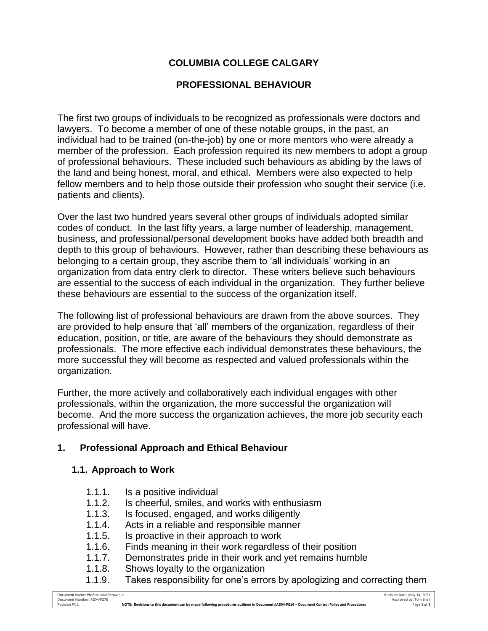# **COLUMBIA COLLEGE CALGARY**

### **PROFESSIONAL BEHAVIOUR**

The first two groups of individuals to be recognized as professionals were doctors and lawyers. To become a member of one of these notable groups, in the past, an individual had to be trained (on-the-job) by one or more mentors who were already a member of the profession. Each profession required its new members to adopt a group of professional behaviours. These included such behaviours as abiding by the laws of the land and being honest, moral, and ethical. Members were also expected to help fellow members and to help those outside their profession who sought their service (i.e. patients and clients).

Over the last two hundred years several other groups of individuals adopted similar codes of conduct. In the last fifty years, a large number of leadership, management, business, and professional/personal development books have added both breadth and depth to this group of behaviours. However, rather than describing these behaviours as belonging to a certain group, they ascribe them to 'all individuals' working in an organization from data entry clerk to director. These writers believe such behaviours are essential to the success of each individual in the organization. They further believe these behaviours are essential to the success of the organization itself.

The following list of professional behaviours are drawn from the above sources. They are provided to help ensure that 'all' members of the organization, regardless of their education, position, or title, are aware of the behaviours they should demonstrate as professionals. The more effective each individual demonstrates these behaviours, the more successful they will become as respected and valued professionals within the organization.

Further, the more actively and collaboratively each individual engages with other professionals, within the organization, the more successful the organization will become. And the more success the organization achieves, the more job security each professional will have.

### **1. Professional Approach and Ethical Behaviour**

#### **1.1. Approach to Work**

- 1.1.1. Is a positive individual
- 1.1.2. Is cheerful, smiles, and works with enthusiasm
- 1.1.3. Is focused, engaged, and works diligently
- 1.1.4. Acts in a reliable and responsible manner
- 1.1.5. Is proactive in their approach to work
- 1.1.6. Finds meaning in their work regardless of their position
- 1.1.7. Demonstrates pride in their work and yet remains humble
- 1.1.8. Shows loyalty to the organization
- 1.1.9. Takes responsibility for one's errors by apologizing and correcting them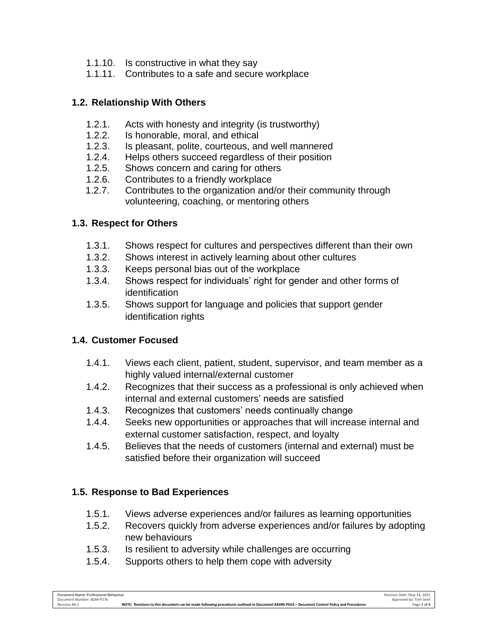- 1.1.10. Is constructive in what they say
- 1.1.11. Contributes to a safe and secure workplace

#### **1.2. Relationship With Others**

- 1.2.1. Acts with honesty and integrity (is trustworthy)
- 1.2.2. Is honorable, moral, and ethical<br>1.2.3. Is pleasant, polite, courteous, ar
- Is pleasant, polite, courteous, and well mannered
- 1.2.4. Helps others succeed regardless of their position
- 1.2.5. Shows concern and caring for others
- 1.2.6. Contributes to a friendly workplace
- 1.2.7. Contributes to the organization and/or their community through volunteering, coaching, or mentoring others

### **1.3. Respect for Others**

- 1.3.1. Shows respect for cultures and perspectives different than their own
- 1.3.2. Shows interest in actively learning about other cultures
- 1.3.3. Keeps personal bias out of the workplace
- 1.3.4. Shows respect for individuals' right for gender and other forms of identification
- 1.3.5. Shows support for language and policies that support gender identification rights

### **1.4. Customer Focused**

- 1.4.1. Views each client, patient, student, supervisor, and team member as a highly valued internal/external customer
- 1.4.2. Recognizes that their success as a professional is only achieved when internal and external customers' needs are satisfied
- 1.4.3. Recognizes that customers' needs continually change
- 1.4.4. Seeks new opportunities or approaches that will increase internal and external customer satisfaction, respect, and loyalty
- 1.4.5. Believes that the needs of customers (internal and external) must be satisfied before their organization will succeed

### **1.5. Response to Bad Experiences**

- 1.5.1. Views adverse experiences and/or failures as learning opportunities
- 1.5.2. Recovers quickly from adverse experiences and/or failures by adopting new behaviours
- 1.5.3. Is resilient to adversity while challenges are occurring
- 1.5.4. Supports others to help them cope with adversity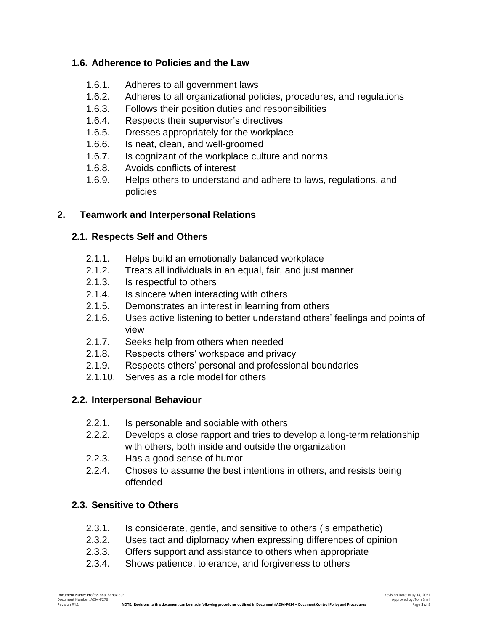### **1.6. Adherence to Policies and the Law**

- 1.6.1. Adheres to all government laws
- 1.6.2. Adheres to all organizational policies, procedures, and regulations
- 1.6.3. Follows their position duties and responsibilities
- 1.6.4. Respects their supervisor's directives
- 1.6.5. Dresses appropriately for the workplace
- 1.6.6. Is neat, clean, and well-groomed
- 1.6.7. Is cognizant of the workplace culture and norms
- 1.6.8. Avoids conflicts of interest
- 1.6.9. Helps others to understand and adhere to laws, regulations, and policies

### **2. Teamwork and Interpersonal Relations**

### **2.1. Respects Self and Others**

- 2.1.1. Helps build an emotionally balanced workplace
- 2.1.2. Treats all individuals in an equal, fair, and just manner
- 2.1.3. Is respectful to others
- 2.1.4. Is sincere when interacting with others
- 2.1.5. Demonstrates an interest in learning from others
- 2.1.6. Uses active listening to better understand others' feelings and points of view
- 2.1.7. Seeks help from others when needed
- 2.1.8. Respects others' workspace and privacy
- 2.1.9. Respects others' personal and professional boundaries
- 2.1.10. Serves as a role model for others

# **2.2. Interpersonal Behaviour**

- 2.2.1. Is personable and sociable with others
- 2.2.2. Develops a close rapport and tries to develop a long-term relationship with others, both inside and outside the organization
- 2.2.3. Has a good sense of humor
- 2.2.4. Choses to assume the best intentions in others, and resists being offended

# **2.3. Sensitive to Others**

- 2.3.1. Is considerate, gentle, and sensitive to others (is empathetic)
- 2.3.2. Uses tact and diplomacy when expressing differences of opinion
- 2.3.3. Offers support and assistance to others when appropriate
- 2.3.4. Shows patience, tolerance, and forgiveness to others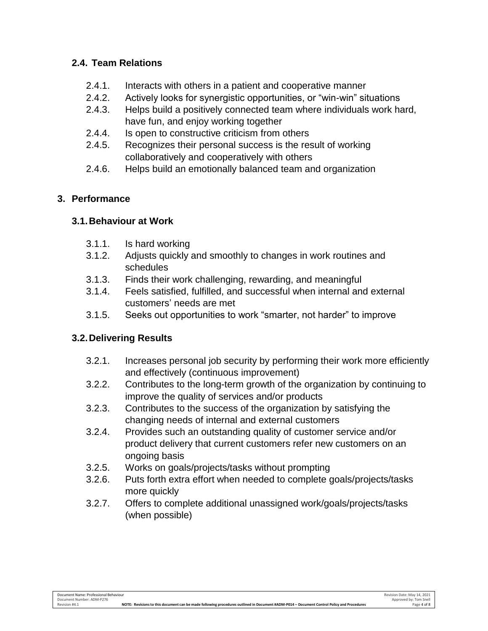### **2.4. Team Relations**

- 2.4.1. Interacts with others in a patient and cooperative manner
- 2.4.2. Actively looks for synergistic opportunities, or "win-win" situations
- 2.4.3. Helps build a positively connected team where individuals work hard, have fun, and enjoy working together
- 2.4.4. Is open to constructive criticism from others
- 2.4.5. Recognizes their personal success is the result of working collaboratively and cooperatively with others
- 2.4.6. Helps build an emotionally balanced team and organization

# **3. Performance**

# **3.1.Behaviour at Work**

- 3.1.1. Is hard working
- 3.1.2. Adjusts quickly and smoothly to changes in work routines and schedules
- 3.1.3. Finds their work challenging, rewarding, and meaningful
- 3.1.4. Feels satisfied, fulfilled, and successful when internal and external customers' needs are met
- 3.1.5. Seeks out opportunities to work "smarter, not harder" to improve

# **3.2.Delivering Results**

- 3.2.1. Increases personal job security by performing their work more efficiently and effectively (continuous improvement)
- 3.2.2. Contributes to the long-term growth of the organization by continuing to improve the quality of services and/or products
- 3.2.3. Contributes to the success of the organization by satisfying the changing needs of internal and external customers
- 3.2.4. Provides such an outstanding quality of customer service and/or product delivery that current customers refer new customers on an ongoing basis
- 3.2.5. Works on goals/projects/tasks without prompting
- 3.2.6. Puts forth extra effort when needed to complete goals/projects/tasks more quickly
- 3.2.7. Offers to complete additional unassigned work/goals/projects/tasks (when possible)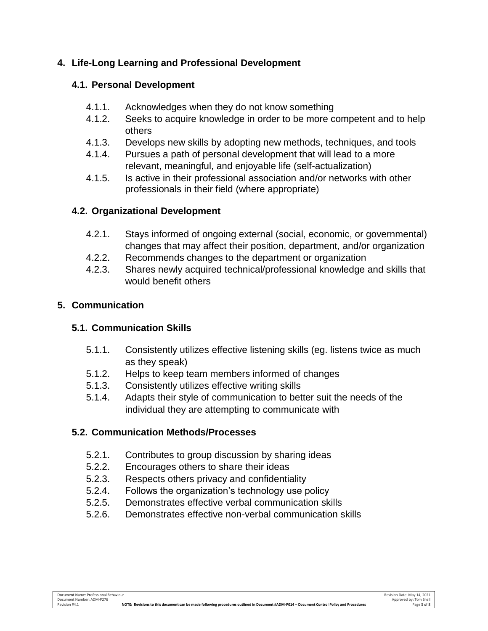### **4. Life-Long Learning and Professional Development**

#### **4.1. Personal Development**

- 4.1.1. Acknowledges when they do not know something
- 4.1.2. Seeks to acquire knowledge in order to be more competent and to help others
- 4.1.3. Develops new skills by adopting new methods, techniques, and tools
- 4.1.4. Pursues a path of personal development that will lead to a more relevant, meaningful, and enjoyable life (self-actualization)
- 4.1.5. Is active in their professional association and/or networks with other professionals in their field (where appropriate)

#### **4.2. Organizational Development**

- 4.2.1. Stays informed of ongoing external (social, economic, or governmental) changes that may affect their position, department, and/or organization
- 4.2.2. Recommends changes to the department or organization
- 4.2.3. Shares newly acquired technical/professional knowledge and skills that would benefit others

### **5. Communication**

### **5.1. Communication Skills**

- 5.1.1. Consistently utilizes effective listening skills (eg. listens twice as much as they speak)
- 5.1.2. Helps to keep team members informed of changes
- 5.1.3. Consistently utilizes effective writing skills
- 5.1.4. Adapts their style of communication to better suit the needs of the individual they are attempting to communicate with

### **5.2. Communication Methods/Processes**

- 5.2.1. Contributes to group discussion by sharing ideas
- 5.2.2. Encourages others to share their ideas
- 5.2.3. Respects others privacy and confidentiality
- 5.2.4. Follows the organization's technology use policy
- 5.2.5. Demonstrates effective verbal communication skills
- 5.2.6. Demonstrates effective non-verbal communication skills

Revision #4.1 **NOTE: Revisions to this document can be made following procedures outlined in Document #ADM-P014 – Document Control Policy and Procedures** Page 5 of 8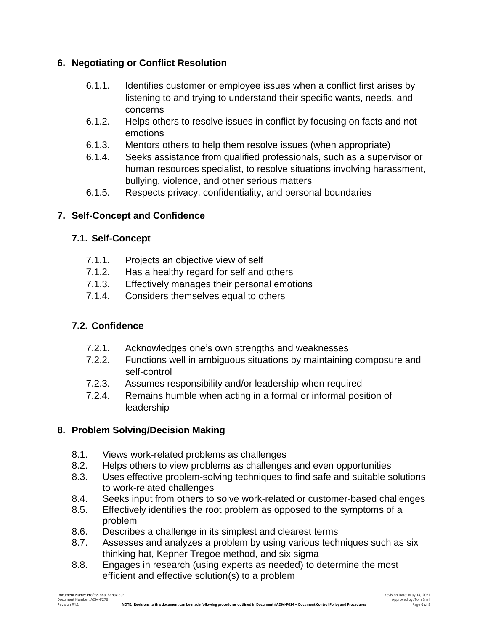### **6. Negotiating or Conflict Resolution**

- 6.1.1. Identifies customer or employee issues when a conflict first arises by listening to and trying to understand their specific wants, needs, and concerns
- 6.1.2. Helps others to resolve issues in conflict by focusing on facts and not emotions
- 6.1.3. Mentors others to help them resolve issues (when appropriate)
- 6.1.4. Seeks assistance from qualified professionals, such as a supervisor or human resources specialist, to resolve situations involving harassment, bullying, violence, and other serious matters
- 6.1.5. Respects privacy, confidentiality, and personal boundaries

# **7. Self-Concept and Confidence**

# **7.1. Self-Concept**

- 7.1.1. Projects an objective view of self
- 7.1.2. Has a healthy regard for self and others
- 7.1.3. Effectively manages their personal emotions
- 7.1.4. Considers themselves equal to others

# **7.2. Confidence**

- 7.2.1. Acknowledges one's own strengths and weaknesses
- 7.2.2. Functions well in ambiguous situations by maintaining composure and self-control
- 7.2.3. Assumes responsibility and/or leadership when required
- 7.2.4. Remains humble when acting in a formal or informal position of leadership

# **8. Problem Solving/Decision Making**

- 8.1. Views work-related problems as challenges
- 8.2. Helps others to view problems as challenges and even opportunities
- 8.3. Uses effective problem-solving techniques to find safe and suitable solutions to work-related challenges
- 8.4. Seeks input from others to solve work-related or customer-based challenges
- 8.5. Effectively identifies the root problem as opposed to the symptoms of a problem
- 8.6. Describes a challenge in its simplest and clearest terms
- 8.7. Assesses and analyzes a problem by using various techniques such as six thinking hat, Kepner Tregoe method, and six sigma
- 8.8. Engages in research (using experts as needed) to determine the most efficient and effective solution(s) to a problem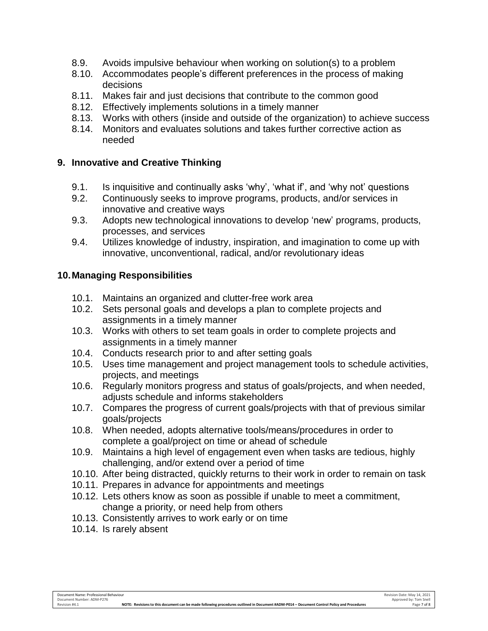- 8.9. Avoids impulsive behaviour when working on solution(s) to a problem
- 8.10. Accommodates people's different preferences in the process of making decisions
- 8.11. Makes fair and just decisions that contribute to the common good
- 8.12. Effectively implements solutions in a timely manner
- 8.13. Works with others (inside and outside of the organization) to achieve success
- 8.14. Monitors and evaluates solutions and takes further corrective action as needed

#### **9. Innovative and Creative Thinking**

- 9.1. Is inquisitive and continually asks 'why', 'what if', and 'why not' questions
- 9.2. Continuously seeks to improve programs, products, and/or services in innovative and creative ways
- 9.3. Adopts new technological innovations to develop 'new' programs, products, processes, and services
- 9.4. Utilizes knowledge of industry, inspiration, and imagination to come up with innovative, unconventional, radical, and/or revolutionary ideas

#### **10.Managing Responsibilities**

- 10.1. Maintains an organized and clutter-free work area
- 10.2. Sets personal goals and develops a plan to complete projects and assignments in a timely manner
- 10.3. Works with others to set team goals in order to complete projects and assignments in a timely manner
- 10.4. Conducts research prior to and after setting goals
- 10.5. Uses time management and project management tools to schedule activities, projects, and meetings
- 10.6. Regularly monitors progress and status of goals/projects, and when needed, adjusts schedule and informs stakeholders
- 10.7. Compares the progress of current goals/projects with that of previous similar goals/projects
- 10.8. When needed, adopts alternative tools/means/procedures in order to complete a goal/project on time or ahead of schedule
- 10.9. Maintains a high level of engagement even when tasks are tedious, highly challenging, and/or extend over a period of time
- 10.10. After being distracted, quickly returns to their work in order to remain on task
- 10.11. Prepares in advance for appointments and meetings
- 10.12. Lets others know as soon as possible if unable to meet a commitment, change a priority, or need help from others
- 10.13. Consistently arrives to work early or on time
- 10.14. Is rarely absent